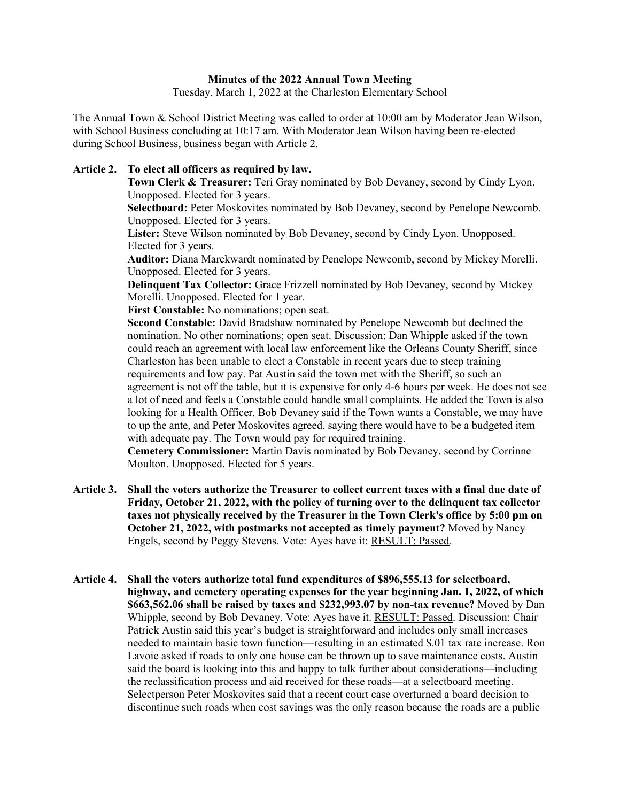## **Minutes of the 2022 Annual Town Meeting**

Tuesday, March 1, 2022 at the Charleston Elementary School

The Annual Town & School District Meeting was called to order at 10:00 am by Moderator Jean Wilson, with School Business concluding at 10:17 am. With Moderator Jean Wilson having been re-elected during School Business, business began with Article 2.

## **Article 2. To elect all officers as required by law.**

**Town Clerk & Treasurer:** Teri Gray nominated by Bob Devaney, second by Cindy Lyon. Unopposed. Elected for 3 years.

**Selectboard:** Peter Moskovites nominated by Bob Devaney, second by Penelope Newcomb. Unopposed. Elected for 3 years.

**Lister:** Steve Wilson nominated by Bob Devaney, second by Cindy Lyon. Unopposed. Elected for 3 years.

**Auditor:** Diana Marckwardt nominated by Penelope Newcomb, second by Mickey Morelli. Unopposed. Elected for 3 years.

**Delinquent Tax Collector:** Grace Frizzell nominated by Bob Devaney, second by Mickey Morelli. Unopposed. Elected for 1 year.

**First Constable:** No nominations; open seat.

**Second Constable:** David Bradshaw nominated by Penelope Newcomb but declined the nomination. No other nominations; open seat. Discussion: Dan Whipple asked if the town could reach an agreement with local law enforcement like the Orleans County Sheriff, since Charleston has been unable to elect a Constable in recent years due to steep training requirements and low pay. Pat Austin said the town met with the Sheriff, so such an agreement is not off the table, but it is expensive for only 4-6 hours per week. He does not see a lot of need and feels a Constable could handle small complaints. He added the Town is also looking for a Health Officer. Bob Devaney said if the Town wants a Constable, we may have to up the ante, and Peter Moskovites agreed, saying there would have to be a budgeted item with adequate pay. The Town would pay for required training.

**Cemetery Commissioner:** Martin Davis nominated by Bob Devaney, second by Corrinne Moulton. Unopposed. Elected for 5 years.

- **Article 3. Shall the voters authorize the Treasurer to collect current taxes with a final due date of Friday, October 21, 2022, with the policy of turning over to the delinquent tax collector taxes not physically received by the Treasurer in the Town Clerk's office by 5:00 pm on October 21, 2022, with postmarks not accepted as timely payment?** Moved by Nancy Engels, second by Peggy Stevens. Vote: Ayes have it: RESULT: Passed.
- **Article 4. Shall the voters authorize total fund expenditures of \$896,555.13 for selectboard, highway, and cemetery operating expenses for the year beginning Jan. 1, 2022, of which \$663,562.06 shall be raised by taxes and \$232,993.07 by non-tax revenue?** Moved by Dan Whipple, second by Bob Devaney. Vote: Ayes have it. RESULT: Passed. Discussion: Chair Patrick Austin said this year's budget is straightforward and includes only small increases needed to maintain basic town function—resulting in an estimated \$.01 tax rate increase. Ron Lavoie asked if roads to only one house can be thrown up to save maintenance costs. Austin said the board is looking into this and happy to talk further about considerations—including the reclassification process and aid received for these roads—at a selectboard meeting. Selectperson Peter Moskovites said that a recent court case overturned a board decision to discontinue such roads when cost savings was the only reason because the roads are a public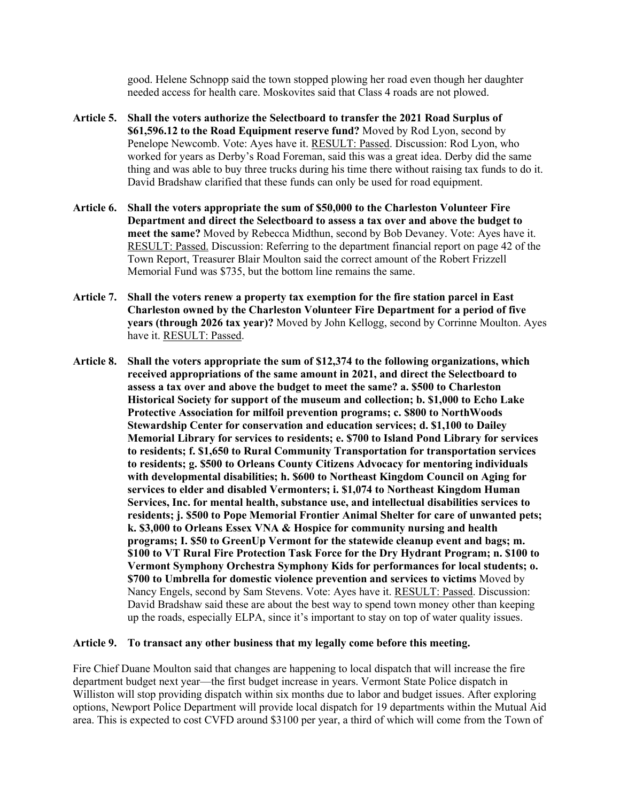good. Helene Schnopp said the town stopped plowing her road even though her daughter needed access for health care. Moskovites said that Class 4 roads are not plowed.

- **Article 5. Shall the voters authorize the Selectboard to transfer the 2021 Road Surplus of \$61,596.12 to the Road Equipment reserve fund?** Moved by Rod Lyon, second by Penelope Newcomb. Vote: Ayes have it. RESULT: Passed. Discussion: Rod Lyon, who worked for years as Derby's Road Foreman, said this was a great idea. Derby did the same thing and was able to buy three trucks during his time there without raising tax funds to do it. David Bradshaw clarified that these funds can only be used for road equipment.
- **Article 6. Shall the voters appropriate the sum of \$50,000 to the Charleston Volunteer Fire Department and direct the Selectboard to assess a tax over and above the budget to meet the same?** Moved by Rebecca Midthun, second by Bob Devaney. Vote: Ayes have it. RESULT: Passed. Discussion: Referring to the department financial report on page 42 of the Town Report, Treasurer Blair Moulton said the correct amount of the Robert Frizzell Memorial Fund was \$735, but the bottom line remains the same.
- **Article 7. Shall the voters renew a property tax exemption for the fire station parcel in East Charleston owned by the Charleston Volunteer Fire Department for a period of five years (through 2026 tax year)?** Moved by John Kellogg, second by Corrinne Moulton. Ayes have it. RESULT: Passed.
- **Article 8. Shall the voters appropriate the sum of \$12,374 to the following organizations, which received appropriations of the same amount in 2021, and direct the Selectboard to assess a tax over and above the budget to meet the same? a. \$500 to Charleston Historical Society for support of the museum and collection; b. \$1,000 to Echo Lake Protective Association for milfoil prevention programs; c. \$800 to NorthWoods Stewardship Center for conservation and education services; d. \$1,100 to Dailey Memorial Library for services to residents; e. \$700 to Island Pond Library for services to residents; f. \$1,650 to Rural Community Transportation for transportation services to residents; g. \$500 to Orleans County Citizens Advocacy for mentoring individuals with developmental disabilities; h. \$600 to Northeast Kingdom Council on Aging for services to elder and disabled Vermonters; i. \$1,074 to Northeast Kingdom Human Services, Inc. for mental health, substance use, and intellectual disabilities services to residents; j. \$500 to Pope Memorial Frontier Animal Shelter for care of unwanted pets; k. \$3,000 to Orleans Essex VNA & Hospice for community nursing and health programs; I. \$50 to GreenUp Vermont for the statewide cleanup event and bags; m. \$100 to VT Rural Fire Protection Task Force for the Dry Hydrant Program; n. \$100 to Vermont Symphony Orchestra Symphony Kids for performances for local students; o. \$700 to Umbrella for domestic violence prevention and services to victims** Moved by Nancy Engels, second by Sam Stevens. Vote: Ayes have it. RESULT: Passed. Discussion: David Bradshaw said these are about the best way to spend town money other than keeping up the roads, especially ELPA, since it's important to stay on top of water quality issues.

## **Article 9. To transact any other business that my legally come before this meeting.**

Fire Chief Duane Moulton said that changes are happening to local dispatch that will increase the fire department budget next year—the first budget increase in years. Vermont State Police dispatch in Williston will stop providing dispatch within six months due to labor and budget issues. After exploring options, Newport Police Department will provide local dispatch for 19 departments within the Mutual Aid area. This is expected to cost CVFD around \$3100 per year, a third of which will come from the Town of